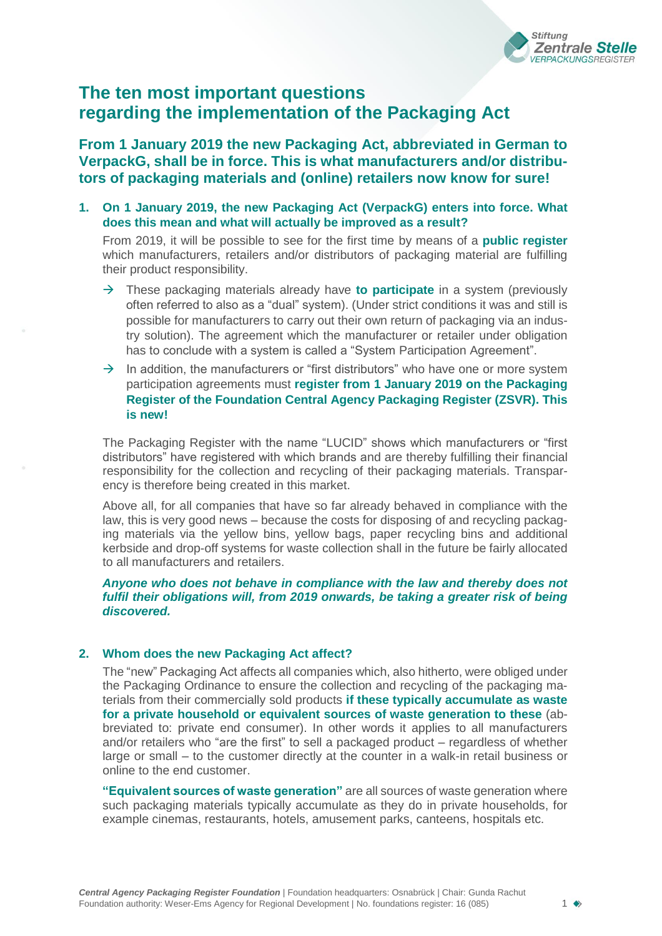

# **The ten most important questions regarding the implementation of the Packaging Act**

**From 1 January 2019 the new Packaging Act, abbreviated in German to VerpackG, shall be in force. This is what manufacturers and/or distributors of packaging materials and (online) retailers now know for sure!**

**1. On 1 January 2019, the new Packaging Act (VerpackG) enters into force. What does this mean and what will actually be improved as a result?**

From 2019, it will be possible to see for the first time by means of a **public register** which manufacturers, retailers and/or distributors of packaging material are fulfilling their product responsibility.

- $\rightarrow$  These packaging materials already have **to participate** in a system (previously often referred to also as a "dual" system). (Under strict conditions it was and still is possible for manufacturers to carry out their own return of packaging via an industry solution). The agreement which the manufacturer or retailer under obligation has to conclude with a system is called a "System Participation Agreement".
- $\rightarrow$  In addition, the manufacturers or "first distributors" who have one or more system participation agreements must **register from 1 January 2019 on the Packaging Register of the Foundation Central Agency Packaging Register (ZSVR). This is new!**

The Packaging Register with the name "LUCID" shows which manufacturers or "first distributors" have registered with which brands and are thereby fulfilling their financial responsibility for the collection and recycling of their packaging materials. Transparency is therefore being created in this market.

Above all, for all companies that have so far already behaved in compliance with the law, this is very good news – because the costs for disposing of and recycling packaging materials via the yellow bins, yellow bags, paper recycling bins and additional kerbside and drop-off systems for waste collection shall in the future be fairly allocated to all manufacturers and retailers.

*Anyone who does not behave in compliance with the law and thereby does not fulfil their obligations will, from 2019 onwards, be taking a greater risk of being discovered.* 

## **2. Whom does the new Packaging Act affect?**

The "new" Packaging Act affects all companies which, also hitherto, were obliged under the Packaging Ordinance to ensure the collection and recycling of the packaging materials from their commercially sold products **if these typically accumulate as waste for a private household or equivalent sources of waste generation to these** (abbreviated to: private end consumer). In other words it applies to all manufacturers and/or retailers who "are the first" to sell a packaged product – regardless of whether large or small – to the customer directly at the counter in a walk-in retail business or online to the end customer.

**"Equivalent sources of waste generation"** are all sources of waste generation where such packaging materials typically accumulate as they do in private households, for example cinemas, restaurants, hotels, amusement parks, canteens, hospitals etc.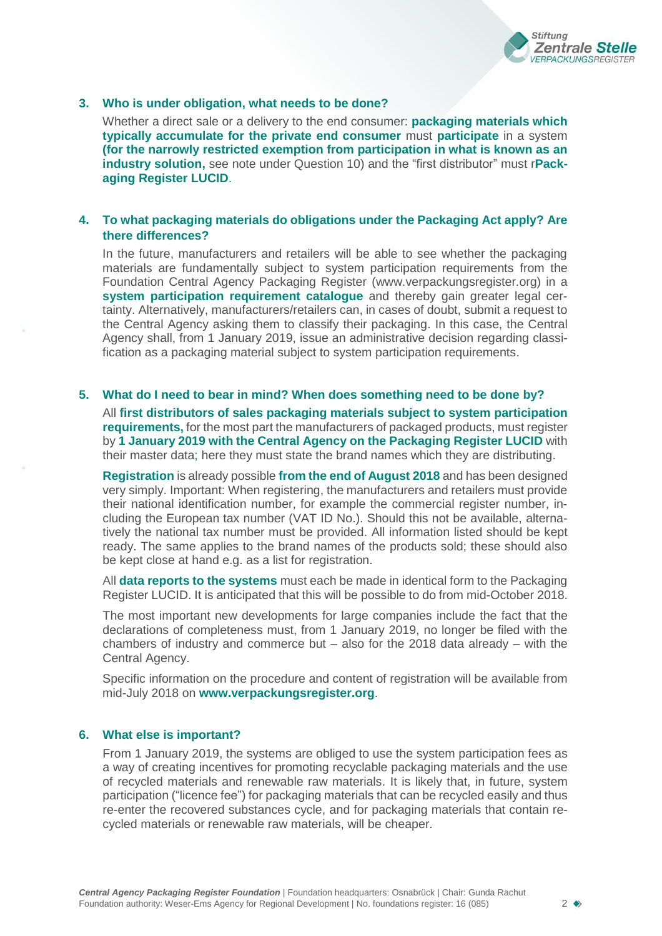

#### **3. Who is under obligation, what needs to be done?**

Whether a direct sale or a delivery to the end consumer: **packaging materials which typically accumulate for the private end consumer** must **participate** in a system **(for the narrowly restricted exemption from participation in what is known as an industry solution,** see note under Question 10) and the "first distributor" must r**Packaging Register LUCID**.

# **4. To what packaging materials do obligations under the Packaging Act apply? Are there differences?**

In the future, manufacturers and retailers will be able to see whether the packaging materials are fundamentally subject to system participation requirements from the Foundation Central Agency Packaging Register (www.verpackungsregister.org) in a **system participation requirement catalogue** and thereby gain greater legal certainty. Alternatively, manufacturers/retailers can, in cases of doubt, submit a request to the Central Agency asking them to classify their packaging. In this case, the Central Agency shall, from 1 January 2019, issue an administrative decision regarding classification as a packaging material subject to system participation requirements.

## **5. What do I need to bear in mind? When does something need to be done by?**

All **first distributors of sales packaging materials subject to system participation requirements,** for the most part the manufacturers of packaged products, must register by **1 January 2019 with the Central Agency on the Packaging Register LUCID** with their master data; here they must state the brand names which they are distributing.

**Registration** is already possible **from the end of August 2018** and has been designed very simply. Important: When registering, the manufacturers and retailers must provide their national identification number, for example the commercial register number, including the European tax number (VAT ID No.). Should this not be available, alternatively the national tax number must be provided. All information listed should be kept ready. The same applies to the brand names of the products sold; these should also be kept close at hand e.g. as a list for registration.

All **data reports to the systems** must each be made in identical form to the Packaging Register LUCID. It is anticipated that this will be possible to do from mid-October 2018.

The most important new developments for large companies include the fact that the declarations of completeness must, from 1 January 2019, no longer be filed with the chambers of industry and commerce but  $-$  also for the 2018 data already  $-$  with the Central Agency.

Specific information on the procedure and content of registration will be available from mid-July 2018 on **[www.verpackungsregister.org](http://www.verpackungsregister.org/)**.

## **6. What else is important?**

From 1 January 2019, the systems are obliged to use the system participation fees as a way of creating incentives for promoting recyclable packaging materials and the use of recycled materials and renewable raw materials. It is likely that, in future, system participation ("licence fee") for packaging materials that can be recycled easily and thus re-enter the recovered substances cycle, and for packaging materials that contain recycled materials or renewable raw materials, will be cheaper.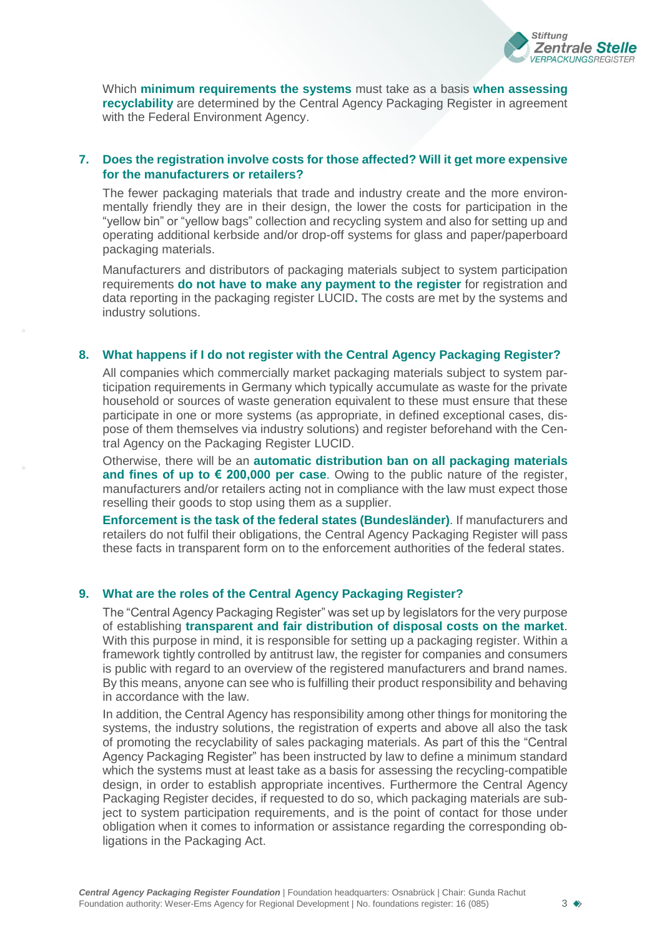

Which **minimum requirements the systems** must take as a basis **when assessing recyclability** are determined by the Central Agency Packaging Register in agreement with the Federal Environment Agency.

# **7. Does the registration involve costs for those affected? Will it get more expensive for the manufacturers or retailers?**

The fewer packaging materials that trade and industry create and the more environmentally friendly they are in their design, the lower the costs for participation in the "yellow bin" or "yellow bags" collection and recycling system and also for setting up and operating additional kerbside and/or drop-off systems for glass and paper/paperboard packaging materials.

Manufacturers and distributors of packaging materials subject to system participation requirements **do not have to make any payment to the register** for registration and data reporting in the packaging register LUCID**.** The costs are met by the systems and industry solutions.

## **8. What happens if I do not register with the Central Agency Packaging Register?**

All companies which commercially market packaging materials subject to system participation requirements in Germany which typically accumulate as waste for the private household or sources of waste generation equivalent to these must ensure that these participate in one or more systems (as appropriate, in defined exceptional cases, dispose of them themselves via industry solutions) and register beforehand with the Central Agency on the Packaging Register LUCID.

Otherwise, there will be an **automatic distribution ban on all packaging materials and fines of up to € 200,000 per case**. Owing to the public nature of the register, manufacturers and/or retailers acting not in compliance with the law must expect those reselling their goods to stop using them as a supplier.

**Enforcement is the task of the federal states (Bundesländer)**. If manufacturers and retailers do not fulfil their obligations, the Central Agency Packaging Register will pass these facts in transparent form on to the enforcement authorities of the federal states.

# **9. What are the roles of the Central Agency Packaging Register?**

The "Central Agency Packaging Register" was set up by legislators for the very purpose of establishing **transparent and fair distribution of disposal costs on the market**. With this purpose in mind, it is responsible for setting up a packaging register. Within a framework tightly controlled by antitrust law, the register for companies and consumers is public with regard to an overview of the registered manufacturers and brand names. By this means, anyone can see who is fulfilling their product responsibility and behaving in accordance with the law.

In addition, the Central Agency has responsibility among other things for monitoring the systems, the industry solutions, the registration of experts and above all also the task of promoting the recyclability of sales packaging materials. As part of this the "Central Agency Packaging Register" has been instructed by law to define a minimum standard which the systems must at least take as a basis for assessing the recycling-compatible design, in order to establish appropriate incentives. Furthermore the Central Agency Packaging Register decides, if requested to do so, which packaging materials are subject to system participation requirements, and is the point of contact for those under obligation when it comes to information or assistance regarding the corresponding obligations in the Packaging Act.